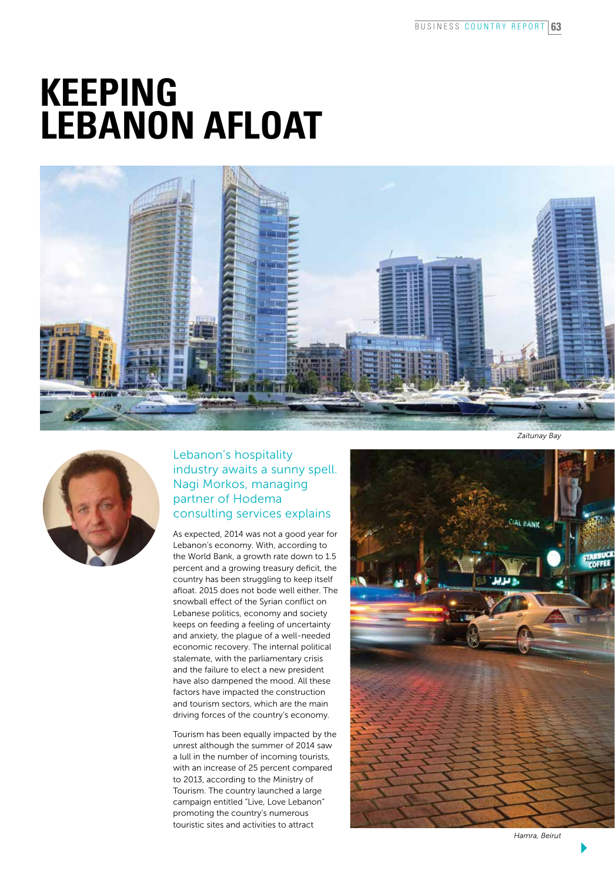## **Keeping Lebanon afloat**





## Lebanon's hospitality industry awaits a sunny spell. Nagi Morkos, managing partner of Hodema consulting services explains

As expected, 2014 was not a good year for Lebanon's economy. With, according to the World Bank, a growth rate down to 1.5 percent and a growing treasury deficit, the country has been struggling to keep itself afloat. 2015 does not bode well either. The snowball effect of the Syrian conflict on Lebanese politics, economy and society keeps on feeding a feeling of uncertainty and anxiety, the plague of a well-needed economic recovery. The internal political stalemate, with the parliamentary crisis and the failure to elect a new president have also dampened the mood. All these factors have impacted the construction and tourism sectors, which are the main driving forces of the country's economy.

Tourism has been equally impacted by the unrest although the summer of 2014 saw a lull in the number of incoming tourists, with an increase of 25 percent compared to 2013, according to the Ministry of Tourism. The country launched a large campaign entitled "Live, Love Lebanon" promoting the country's numerous touristic sites and activities to attract



*Hamra, Beirut*